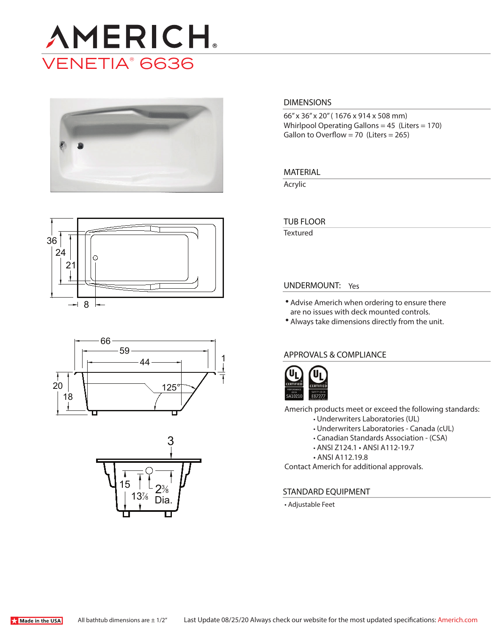









#### **DIMENSIONS**

66" x 36" x 20" ( 1676 x 914 x 508 mm) Whirlpool Operating Gallons = 45 (Liters = 170) Gallon to Overflow = 70 (Liters =  $265$ )

### **MATERIAL**

Acrylic

## **TUB FLOOR**

Textured

## **UNDERMOUNT:** Yes

- Advise Americh when ordering to ensure there are no issues with deck mounted controls.
- Always take dimensions directly from the unit.

### **APPROVALS & COMPLIANCE**



Americh products meet or exceed the following standards:

- Underwriters Laboratories (UL)
	- Underwriters Laboratories Canada (cUL)
	- Canadian Standards Association (CSA)
	- ANSI Z124.1 ANSI A112-19.7
	- ANSI A112.19.8

Contact Americh for additional approvals.

### **STANDARD EQUIPMENT**

• Adjustable Feet